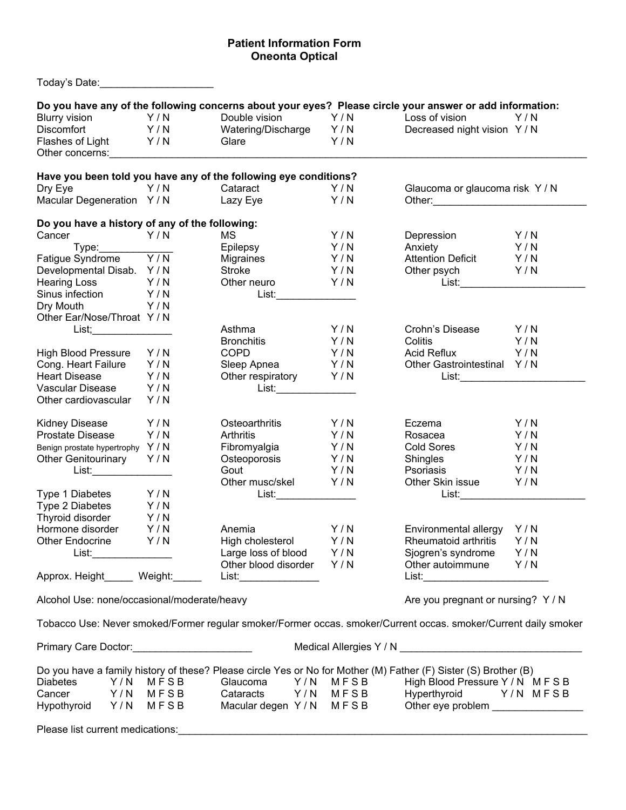## **Patient Information Form Oneonta Optical**

Today's Date: **Do you have any of the following concerns about your eyes? Please circle your answer or add information:**<br>Blurry vision Y/N Double vision Y/N Loss of vision Y/N Blurry vision  $Y/N$  Double vision  $Y/N$ <br>Discomfort  $Y/N$  Watering/Discharge  $Y/N$ Decreased night vision Y / N Flashes of Light Y/N Glare Y/N Y/N Other concerns: **Have you been told you have any of the following eye conditions?** Dry Eye Y / N Cataract Y / N Glaucoma or glaucoma risk Y / N Macular Degeneration Y / N Lazy Eye Y / N Other:\_\_\_\_\_\_\_\_\_\_\_\_\_\_\_\_\_\_\_\_\_\_\_\_\_\_\_ **Do you have a history of any of the following:** Cancer  $Y/N$  MS  $Y/N$  Depression  $Y/N$ Type:\_\_\_\_\_\_\_\_\_\_\_\_\_ Epilepsy Y / N Anxiety Y / N Fatigue Syndrome Y/N Migraines Y/N Attention Deficit Y/N Developmental Disab. Y/N Stroke Y/N Other psych Y/N Hearing Loss  $Y/N$  Other neuro  $Y/N$  List:<br>Sinus infection  $Y/N$  List: Sinus infection  $Y / N$  List: Dry Mouth Y/N Other Ear/Nose/Throat Y / N List; \_\_\_\_\_\_\_\_\_\_\_\_\_\_\_\_\_\_\_\_\_ Asthma Y/N Crohn's Disease Y/N Bronchitis  $Y/N$  Colitis  $Y/N$ High Blood Pressure Y/N COPD Y/N Acid Reflux Y/N Cong. Heart Failure Y/N Sleep Apnea Y/N Other Gastrointestinal Y/N<br>Heart Disease Y/N Other respiratory Y/N List: Heart Disease The Y / N Cther respiratory T Y / N List: Vascular Disease Y/N List: Other cardiovascular Y/N Kidney Disease Y/N Osteoarthritis Y/N Eczema Y/N Prostate Disease Y/N Arthritis Y/N Rosacea Y/N Y Y N Benign prostate hypertrophy Y/N Fibromyalgia Y/N Cold Sores Y/N<br>
Other Genitourinary Y/N Osteoporosis Y/N Shingles Y/N Other Genitourinary Y/N Osteoporosis Y/N Shingles Y/N List:\_\_\_\_\_\_\_\_\_\_\_\_\_\_ Gout Y / N Psoriasis Y / N Other musc/skel Y/N Other Skin issue Y/N Type 1 Diabetes Y / N List:\_\_\_\_\_\_\_\_\_\_\_\_\_\_ List:\_\_\_\_\_\_\_\_\_\_\_\_\_\_\_\_\_\_\_\_\_\_ Type 2 Diabetes Y/N<br>Thyroid disorder Y/N Thyroid disorder Y / N Hormone disorder Y/N Anemia Y/N Environmental allergy Y/N Other Endocrine Y / N High cholesterol Y / N Rheumatoid arthritis Y / N Large loss of blood Y / N Sjogren's syndrome Y / N Other blood disorder Y/N Other autoimmune Y/N<br>List: List: Approx. Height Weight: List: Alcohol Use: none/occasional/moderate/heavy and the state of the you pregnant or nursing? Y/N Tobacco Use: Never smoked/Former regular smoker/Former occas. smoker/Current occas. smoker/Current daily smoker Primary Care Doctor: \_\_\_\_\_\_\_\_\_\_\_\_\_\_\_\_\_\_\_\_\_\_\_\_\_\_\_\_\_\_\_\_ Medical Allergies Y / N \_\_\_\_\_\_\_\_\_\_\_\_\_\_\_\_\_\_\_\_\_\_\_\_\_\_\_\_\_\_\_\_ Do you have a family history of these? Please circle Yes or No for Mother (M) Father (F) Sister (S) Brother (B)<br>Diabetes Y/N M F S B Glaucoma Y/N M F S B High Blood Pressure Y/N M F S B Diabetes Y/N M F S B Glaucoma Y/N M F S B<br>Cancer Y/N M F S B Cataracts Y/N M F S B Cancer Y/N M F S B Cataracts Y/N M F S B Hyperthyroid Y/N M F S B Hyperthyroid Y/N M F S B Hypothyroid Y/N M F S B Hypothyroid Y/N M F S B Macular degen Y/N M F S B

Please list current medications: **Example 20** and  $\alpha$  is the set of the set of the set of the set of the set of the set of the set of the set of the set of the set of the set of the set of the set of the set of the set of